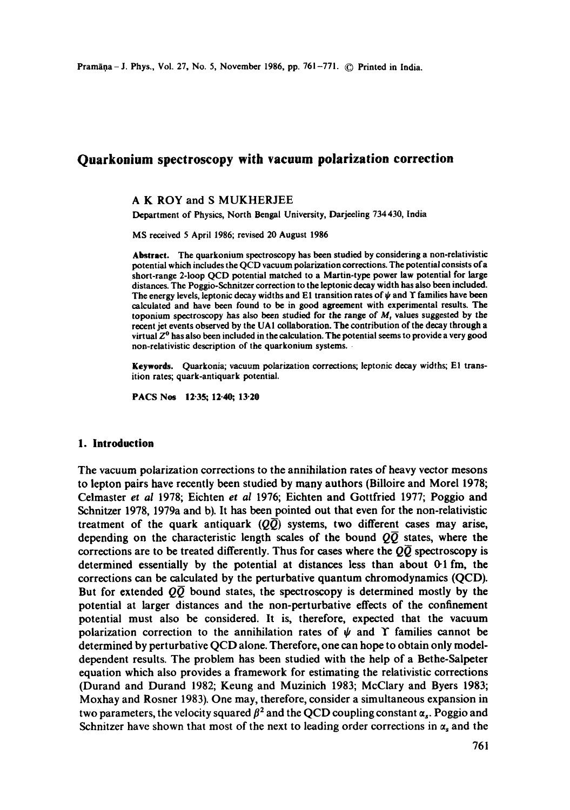# **Quarkonium spectroscopy with vacuum polarization correction**

#### A K ROY and S MUKHERJEE

Department of Physics, North Bengal University, Darjeeling 734430, India

MS received 5 April 1986; revised 20 August 1986

**Abstract.** The quarkonium spectroscopy has been studied by considering a non-relativistic potential which includes the QCD vacuum polarization corrections. The potential consists of a short-range 2-loop QCD potential matched to a Martin-type power law potential for large distances. The Poggio-Schnitzer correction to the leptonic decay width has also been included. The energy levels, leptonic decay widths and E1 transition rates of  $\psi$  and T families have been calculated and have been found to be in good agreement with experimental results. The toponium spectroscopy has also been studied for the range of  $M<sub>t</sub>$  values suggested by the recent jet events observed by the UA1 collaboration. The contribution of the decay through a virtual  $Z<sup>0</sup>$  has also been included in the calculation. The potential seems to provide a very good non-relativistic description of the quarkonium systems.

**geywords.** Quarkonia; vacuum polarization corrections; leptonic decay widths; El transition rates; quark-antiquark potential.

**PACS Nos 12-35; 12.40; 13.20** 

#### **1. Introduction**

The vacuum polarization corrections to the annihilation rates of heavy vector mesons to lepton pairs have recently been studied by many authors (Billoire and Morel 1978; Celmaster *et al* 1978; Eichten *et al* 1976; Eichten and Gottfried 1977; Poggio and Schnitzer 1978, 1979a and b). It has been pointed out that even for the non-relativistic treatment of the quark antiquark  $(Q\overline{Q})$  systems, two different cases may arise, depending on the characteristic length scales of the bound  $Q\overline{Q}$  states, where the corrections are to be treated differently. Thus for cases where the  $Q\overline{Q}$  spectroscopy is determined essentially by the potential at distances less than about 0-1 fm, the corrections can be calculated by the perturbative quantum chromodynamics (QCD). But for extended *QQ* bound states, the spectroscopy is determined mostly by the potential at larger distances and the non-perturbative effects of the confinement potential must also be considered. It is, therefore, expected that the vacuum polarization correction to the annihilation rates of  $\psi$  and Y families cannot be determined by perturbative QCD alone. Therefore, one can hope to obtain only modeldependent results. The problem has been studied with the help of a Bethe-Salpeter equation which also provides a framework for estimating the relativistic corrections (Durand and Durand 1982; Keung and Muzinich 1983; McClary and Byers 1983; Moxhay and Rosner 1983). One may, therefore, consider a simultaneous expansion in two parameters, the velocity squared  $\beta^2$  and the QCD coupling constant  $\alpha_s$ . Poggio and Schnitzer have shown that most of the next to leading order corrections in  $\alpha_s$  and the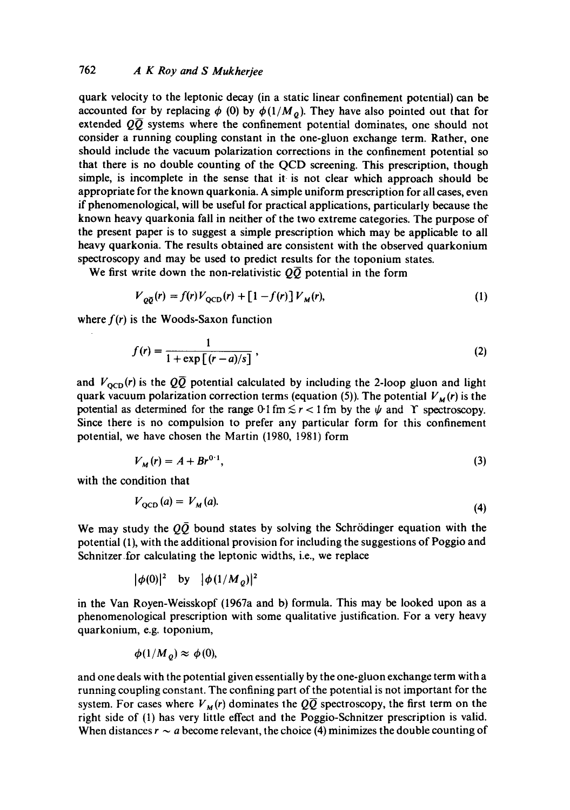## 762 *A K Roy and S Mukherjee*

quark velocity to the leptonic decay (in a static linear confinement potential) can be accounted for by replacing  $\phi$  (0) by  $\phi(1/M_o)$ . They have also pointed out that for extended  $Q\overline{Q}$  systems where the confinement potential dominates, one should not consider a running coupling constant in the one-gluon exchange term. Rather, one should include the vacuum polarization corrections in the confinement potential so that there is no double counting of the QCD screening. This prescription, though simple, is incomplete in the sense that it is not clear which approach should be appropriate for the known quarkonia. A simple uniform prescription for all cases, even if phenomenological, will be useful for practical applications, particularly because the known heavy quarkonia fall in neither of the two extreme categories. The purpose of the present paper is to suggest a simple prescription which may be applicable to all heavy quarkonia. The results obtained are consistent with the observed quarkonium spectroscopy and may be used to predict results for the toponium states.

We first write down the non-relativistic  $Q\overline{Q}$  potential in the form

$$
V_{o\overline{o}}(r) = f(r)V_{oCD}(r) + \left[1 - f(r)\right]V_M(r),\tag{1}
$$

where  $f(r)$  is the Woods-Saxon function

$$
f(r) = \frac{1}{1 + \exp\left[\frac{(r-a)}{s}\right]},\tag{2}
$$

and  $V_{\text{OCD}}(r)$  is the  $Q\overline{Q}$  potential calculated by including the 2-loop gluon and light quark vacuum polarization correction terms (equation (5)). The potential  $V_M(r)$  is the potential as determined for the range 0-1 fm  $\leq r < 1$  fm by the  $\psi$  and Y spectroscopy. Since there is no compulsion to prefer any particular form for this confinement potential, we have chosen the Martin (1980, 1981) form

$$
V_M(r) = A + B r^{0.1},
$$
 (3)

with the condition that

 $\sim 10^{-1}$ 

$$
V_{\rm QCD}(a) = V_M(a). \tag{4}
$$

We may study the  $\overline{QQ}$  bound states by solving the Schrödinger equation with the potential (1), with the additional provision for including the suggestions of Poggio and Schnitzer for calculating the leptonic widths, i.e., we replace

$$
|\phi(0)|^2 \quad \text{by} \quad |\phi(1/M_Q)|^2
$$

in the Van Royen-Weisskopf (1967a and b) formula. This may be looked upon as a phenomenological prescription with some qualitative justification. For a very heavy quarkonium, e.g. toponium,

$$
\phi(1/M_{\varrho}) \approx \phi(0),
$$

and one deals with the potential given essentially by the one-gluon exchange term with a running coupling constant. The confining part of the potential is not important for the system. For cases where  $V_M(r)$  dominates the  $Q\overline{Q}$  spectroscopy, the first term on the right side of (1) has very little effect and the Poggio-Schnitzer prescription is valid. When distances  $r \sim a$  become relevant, the choice (4) minimizes the double counting of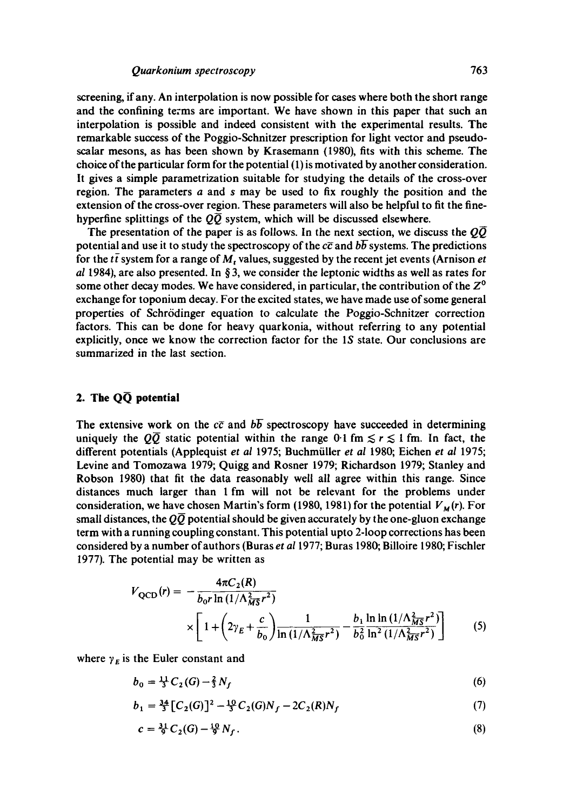screening, if any. An interpolation is now possible for cases where both the short range and the confining terms are important. We have shown in this paper that such an interpolation is possible and indeed consistent with the experimental results. The remarkable success of the Poggio-Sehnitzer prescription for light vector and pseudoscalar mesons, as has been shown by Krasemann (1980), fits with this scheme. The choice of the particular form for the potential (1) is motivated by another consideration. It gives a simple parametrization suitable for studying the details of the cross-over region. The parameters a and s may be used to fix roughly the position and the extension of the cross-over region. These parameters will also be helpful to fit the finehyperfine splittings of the  $\overline{OQ}$  system, which will be discussed elsewhere.

The presentation of the paper is as follows. In the next section, we discuss the  $\overline{O\overline{O}}$ potential and use it to study the spectroscopy of the  $c\bar{c}$  and  $b\bar{b}$  systems. The predictions for the  $t\bar{t}$  system for a range of M, values, suggested by the recent jet events (Arnison *et al* 1984), are also presented. In § 3, we consider the leptonic widths as well as rates for some other decay modes. We have considered, in particular, the contribution of the  $Z^{\circ}$ exchange for toponium decay. For the excited states, we have made use of some general properties of Schr6dinger equation to calculate the Poggio-Schnitzer correction factors. This can be done for heavy quarkonia, without referring to any potential explicitly, once we know the correction factor for the IS state. Our conclusions are summarized in the last section.

### **2. The QC~ potential**

The extensive work on the  $c\bar{c}$  and  $b\bar{b}$  spectroscopy have succeeded in determining uniquely the  $Q\overline{Q}$  static potential within the range 0-1 fm  $\leq r \leq 1$  fm. In fact, the different potentials (Applequist *et al* 1975; Buchmiiller *et al* 1980; Eichen *et al* 1975; Levine and Tomozawa 1979; Quigg and Rosner 1979; Richardson 1979; Stanley and Robson 1980) that fit the data reasonably well all agree within this range. Since distances much larger than 1 fm will not be relevant for the problems under consideration, we have chosen Martin's form (1980, 1981) for the potential  $V_M(r)$ . For small distances, the  $\overline{QQ}$  potential should be given accurately by the one-gluon exchange term with a running coupling constant. This potential upto 2-loop corrections has been considered by a number of authors (Buras *et al* 1977; Buras 1980; Billoire 1980; Fischler 1977). The potential may be written as

$$
V_{\text{QCD}}(r) = -\frac{4\pi C_2(R)}{b_0 r \ln\left(\frac{1}{\Lambda_{\text{MS}}^2 r^2}\right)} \times \left[1 + \left(2\gamma_E + \frac{c}{b_0}\right) \frac{1}{\ln\left(\frac{1}{\Lambda_{\text{MS}}^2 r^2}\right)} - \frac{b_1 \ln \ln\left(\frac{1}{\Lambda_{\text{MS}}^2 r^2}\right)}{b_0^2 \ln^2\left(\frac{1}{\Lambda_{\text{MS}}^2 r^2}\right)}\right] \tag{5}
$$

where  $\gamma_E$  is the Euler constant and

$$
b_0 = \frac{11}{3} C_2(G) - \frac{2}{3} N_f \tag{6}
$$

$$
b_1 = \frac{34}{3} \left[ C_2(G) \right]^2 - \frac{10}{3} C_2(G) N_f - 2C_2(R) N_f \tag{7}
$$

$$
c = \frac{31}{9}C_2(G) - \frac{10}{9}N_f. \tag{8}
$$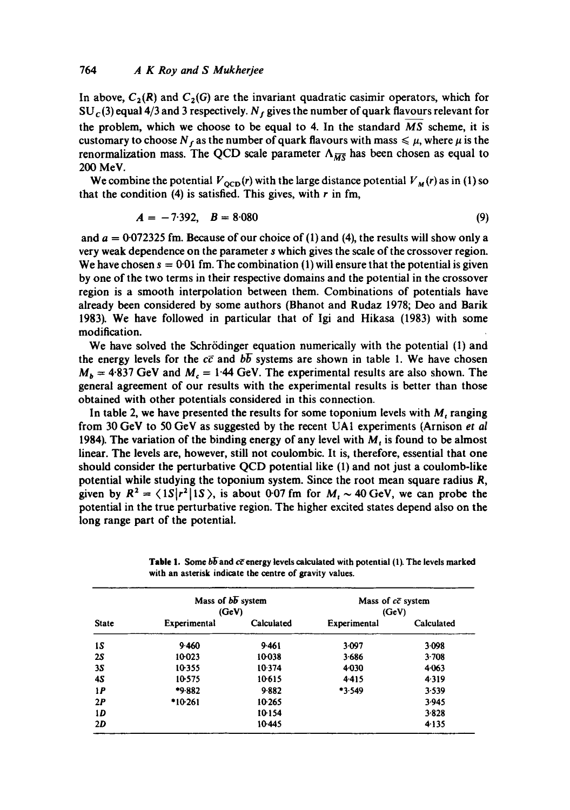In above,  $C_2(R)$  and  $C_2(G)$  are the invariant quadratic casimir operators, which for  $SU<sub>c</sub>(3)$  equal 4/3 and 3 respectively. N<sub>f</sub> gives the number of quark flavours relevant for the problem, which we choose to be equal to 4. In the standard *MS* scheme, it is customary to choose  $N_f$  as the number of quark flavours with mass  $\leq \mu$ , where  $\mu$  is the renormalization mass. The QCD scale parameter  $\Lambda_{\overline{MS}}$  has been chosen as equal to 200 MeV.

We combine the potential  $V_{\text{OCD}}(r)$  with the large distance potential  $V_M(r)$  as in (1) so that the condition (4) is satisfied. This gives, with  $r$  in fm,

$$
A = -7.392, \quad B = 8.080 \tag{9}
$$

and  $a = 0.072325$  fm. Because of our choice of (1) and (4), the results will show only a very weak dependence on the parameter s which gives the scale of the crossover region. We have chosen  $s = 0.01$  fm. The combination (1) will ensure that the potential is given by one of the two terms in their respective domains and the potential in the crossover region is a smooth interpolation between them. Combinations of potentials have already been considered by some authors (Bhanot and Rudaz 1978; Deo and Batik 1983). We have followed in particular that of Igi and Hikasa (1983) with some modification.

We have solved the Schrödinger equation numerically with the potential (1) and the energy levels for the  $c\bar{c}$  and  $b\bar{b}$  systems are shown in table 1. We have chosen  $M_b = 4.837$  GeV and  $M_c = 1.44$  GeV. The experimental results are also shown. The general agreement of our results with the experimental results is better than those obtained with other potentials considered in this connection.

In table 2, we have presented the results for some toponium levels with  $M_t$  ranging from 30 GeV to 50 GeV as suggested by the recent UA1 experiments (Arnison *et al*  1984). The variation of the binding energy of any level with  $M_t$  is found to be almost linear. The levels are, however, still not coulombic. It is, therefore, essential that one should consider the perturbative QCD potential like (1) and not just a coulomb-like potential while studying the toponium system. Since the root mean square radius *R,*  given by  $R^2 = \langle 1S|r^2|1S\rangle$ , is about 0.07 fm for  $M<sub>t</sub> \sim 40$  GeV, we can probe the potential in the true perturbative region. The higher excited states depend also on the long range part of the potential.

| <b>State</b> | Mass of $b\overline{b}$ system<br>(GeV) |            | Mass of $c\bar{c}$ system<br>(GeV) |            |  |
|--------------|-----------------------------------------|------------|------------------------------------|------------|--|
|              | Experimental                            | Calculated | Experimental                       | Calculated |  |
| 1S           | 9.460                                   | 9.461      | 3.097                              | 3.098      |  |
| 25           | 10023                                   | 10038      | 3.686                              | 3.708      |  |
| 3S           | 10.355                                  | 10.374     | 4030                               | 4.063      |  |
| 45           | 10-575                                  | 10.615     | 4415                               | 4319       |  |
| 1P           | $*9.882$                                | 9.882      | *3.549                             | 3.539      |  |
| 2P           | $*10-261$                               | 10.265     |                                    | 3.945      |  |
| 1D           |                                         | 10154      |                                    | 3.828      |  |
| 2D           |                                         | 10445      |                                    | 4135       |  |

**Table 1.** Some  $b\overline{b}$  and  $c\overline{c}$  energy levels calculated with potential (1). The levels marked with **an asterisk indicate the** centre of gravity values.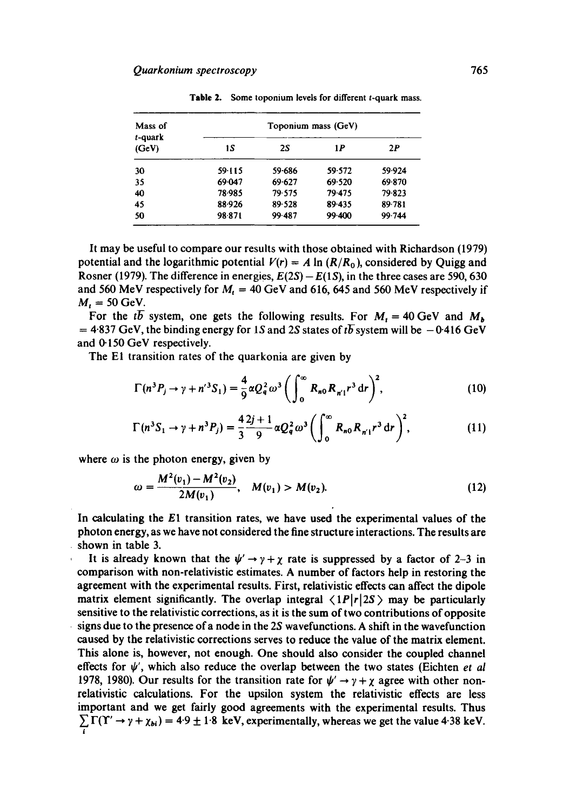| Mass of             |        |        | Toponium mass (GeV) |        |
|---------------------|--------|--------|---------------------|--------|
| $t$ -quark<br>(GeV) | 1S     | 2S     | 1 P                 | 2P     |
| 30                  | 59.115 | 59.686 | 59.572              | 59.924 |
| 35                  | 69.047 | 69.627 | 69.520              | 69.870 |
| 40                  | 78.985 | 79.575 | 79.475              | 79.823 |
| 45                  | 88.926 | 89.528 | 89.435              | 89.781 |
| 50                  | 98.871 | 99.487 | 99.400              | 99.744 |

**Table** 2. Some toponium levels for different t-quark mass.

It may be useful to compare our results with those obtained with Richardson (1979) potential and the logarithmic potential  $V(r) = A \ln (R/R_0)$ , considered by Quigg and Rosner (1979). The difference in energies,  $E(2S) - E(1S)$ , in the three cases are 590, 630 and 560 MeV respectively for  $M_t = 40$  GeV and 616, 645 and 560 MeV respectively if  $M_t = 50$  GeV.

For the tb-system, one gets the following results. For  $M_t = 40$  GeV and  $M_b$  $= 4.837$  GeV, the binding energy for 1S and 2S states of tb system will be  $-0.416$  GeV and 0.150 GeV respectively.

The El transition rates of the quarkonia are given by

$$
\Gamma(n^3 P_j \to \gamma + n'^3 S_1) = \frac{4}{9} \alpha Q_q^2 \omega^3 \left( \int_0^\infty R_{n0} R_{n'1} r^3 dr \right)^2, \tag{10}
$$

$$
\Gamma(n^3 S_1 \to \gamma + n^3 P_j) = \frac{4}{3} \frac{2j+1}{9} \alpha Q_q^2 \omega^3 \left( \int_0^\infty R_{n0} R_{n'1} r^3 dr \right)^2, \tag{11}
$$

where  $\omega$  is the photon energy, given by

$$
\omega = \frac{M^2(v_1) - M^2(v_2)}{2M(v_1)}, \quad M(v_1) > M(v_2). \tag{12}
$$

In calculating the E1 transition rates, we have used the experimental values of the photon energy, as we have not considered the fine structure interactions. The results are shown in table 3.

It is already known that the  $\psi' \rightarrow \gamma + \chi$  rate is suppressed by a factor of 2-3 in comparison with non-relativistic estimates. A number of factors help in restoring the agreement with the experimental results. First, relativistic effects can affect the dipole matrix element significantly. The overlap integral  $\langle 1P|r|2S\rangle$  may be particularly sensitive to the relativistic corrections, as it is the sum of two contributions of opposite signs due to the presence of a node in the 2S wavefunctions. A shift in the wavefunction caused by the relativistic corrections serves to reduce the value of the matrix element. This alone is, however, not enough. One should also consider the coupled channel effects for  $\psi'$ , which also reduce the overlap between the two states (Eichten *et al* 1978, 1980). Our results for the transition rate for  $\psi' \rightarrow \gamma + \chi$  agree with other nonrelativistic calculations. For the upsilon system the relativistic effects are less important and we get fairly good agreements with the experimental results. Thus  $\Gamma(\Upsilon' \rightarrow \gamma + \chi_{bi}) = 4.9 \pm 1.8$  keV, experimentally, whereas we get the value 4.38 keV. l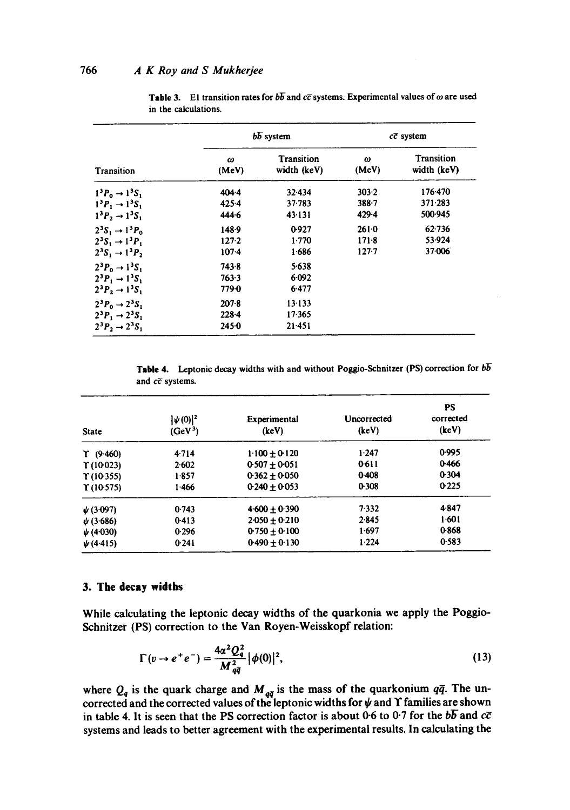|                                     |            | $b\overline{b}$ system    | $c\bar{c}$ system |                           |  |
|-------------------------------------|------------|---------------------------|-------------------|---------------------------|--|
| Transition                          | ω<br>(MeV) | Transition<br>width (keV) | ω<br>(MeV)        | Transition<br>width (keV) |  |
| $1^3P_0 \rightarrow 1^3S_1$         | 404.4      | 32.434                    | 303.2             | 176.470                   |  |
| $1^3P_1 \rightarrow 1^3S_1$         | $425 - 4$  | $37 - 783$                | $388 - 7$         | 371-283                   |  |
| $1^3P_2 \rightarrow 1^3S_1$         | 444.6      | 43.131                    | $429 - 4$         | 500 945                   |  |
| $2^3S_1 \rightarrow 1^3P_0$         | 148.9      | 0.927                     | 2610              | 62.736                    |  |
| $2^3S_1 \rightarrow 1^3P_1$         | 127.2      | 1.770                     | $171-8$           | 53.924                    |  |
| $2^3S_1 \rightarrow 1^3P_2$         | $107-4$    | 1.686                     | $127 - 7$         | 37.006                    |  |
| $2^3P_0 \rightarrow 1^3S_1$         | 743.8      | 5.638                     |                   |                           |  |
| $2^3P_1 \rightarrow 1^3S_1$         | 763.3      | 6.092                     |                   |                           |  |
| $2^3P_2 \rightarrow 1^3S_1$         | 779.0      | 6.477                     |                   |                           |  |
| $2^3P_0 \rightarrow 2^3S_1$         | $207 - 8$  | 13.133                    |                   |                           |  |
| $2^3P_1 \rightarrow 2^3S_1$         | $228 - 4$  | 17.365                    |                   |                           |  |
| $2^{3}P_{2} \rightarrow 2^{3}S_{1}$ | $245-0$    | 21.451                    |                   |                           |  |

Table 3. El transition rates for  $b\overline{b}$  and  $c\overline{c}$  systems. Experimental values of  $\omega$  are used in the calculations.

Table 4. Leptonic decay widths with and without Poggio-Schnitzer (PS) correction for  $b\overline{b}$ and  $c\bar{c}$  systems.

| <b>State</b>        | $ \psi(0) ^2$<br>(GeV <sup>3</sup> ) | Experimental<br>(keV) | Uncorrected<br>(keV) | PS<br>corrected<br>(keV) |
|---------------------|--------------------------------------|-----------------------|----------------------|--------------------------|
| $\Upsilon$ (9.460)  | 4.714                                | $1.100 + 0.120$       | $1 - 247$            | 0.995                    |
| $\Upsilon(10023)$   | 2.602                                | $0.507 + 0.051$       | 0611                 | 0.466                    |
| $\Upsilon$ (10.355) | 1.857                                | $0.362 + 0.050$       | 0.408                | 0.304                    |
| $\Upsilon$ (10.575) | 1.466                                | $0.240 + 0.053$       | 0.308                | 0.225                    |
| $\psi$ (3.097)      | 0.743                                | $4.600 + 0.390$       | 7.332                | 4.847                    |
| $\psi$ (3.686)      | $0-413$                              | $2.050 \pm 0.210$     | 2.845                | 1.601                    |
| $\psi$ (4.030)      | 0.296                                | $0.750 + 0.100$       | 1.697                | 0.868                    |
| $\psi$ (4.415)      | 0.241                                | $0.490 + 0.130$       | 1.224                | 0.583                    |

### **3. The decay widths**

While calculating the leptonic decay widths of the quarkonia we apply the Poggio-Schnitzer (PS) correction to the Van Royen-Weisskopf relation:

$$
\Gamma(v \to e^+e^-) = \frac{4\alpha^2 Q_q^2}{M_{q\bar{q}}^2} |\phi(0)|^2,
$$
\n(13)

where  $Q_{q}$  is the quark charge and  $M_{q\bar{q}}$  is the mass of the quarkonium  $q\bar{q}$ . The uncorrected and the corrected values of the leptonic widths for  $\psi$  and  $\Upsilon$  families are shown in table 4. It is seen that the PS correction factor is about 0-6 to 0.7 for the  $b\overline{b}$  and  $c\overline{c}$ systems and leads to better agreement with the experimental results. In calculating the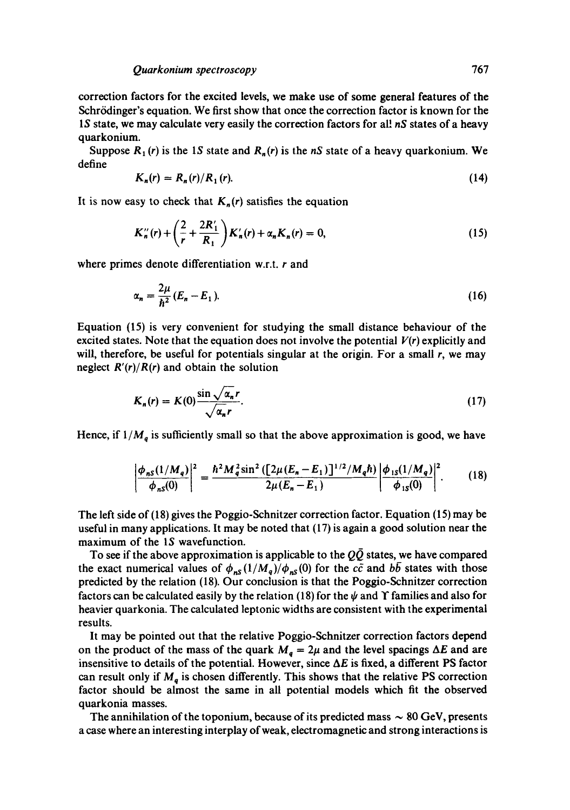correction factors for the excited levels, we make use of some general features of the Schrödinger's equation. We first show that once the correction factor is known for the IS state, we may calculate very easily the correction factors for all *nS* states of a heavy quarkonium.

Suppose  $R_1(r)$  is the 1*S* state and  $R_n(r)$  is the *nS* state of a heavy quarkonium. We define

$$
K_n(r) = R_n(r)/R_1(r). \tag{14}
$$

It is now easy to check that  $K_n(r)$  satisfies the equation

$$
K_n''(r) + \left(\frac{2}{r} + \frac{2R_1'}{R_1}\right)K_n'(r) + \alpha_n K_n(r) = 0,
$$
\n(15)

where primes denote differentiation w.r.t. r and

$$
\alpha_n = \frac{2\mu}{\hbar^2} (E_n - E_1). \tag{16}
$$

Equation (15) is very convenient for studying the small distance behaviour of the excited states. Note that the equation does not involve the potential  $V(r)$  explicitly and will, therefore, be useful for potentials singular at the origin. For a small *r,* we may neglect  $R'(r)/R(r)$  and obtain the solution

$$
K_n(r) = K(0) \frac{\sin \sqrt{\alpha_n} r}{\sqrt{\alpha_n} r}.
$$
 (17)

Hence, if  $1/M_q$  is sufficiently small so that the above approximation is good, we have

$$
\left|\frac{\phi_{nS}(1/M_q)}{\phi_{nS}(0)}\right|^2 = \frac{\hbar^2 M_q^2 \sin^2\left(\left[2\mu(E_n - E_1)\right]^{1/2}/M_q \hbar\right)}{2\mu(E_n - E_1)} \left|\frac{\phi_{1S}(1/M_q)}{\phi_{1S}(0)}\right|^2. \tag{18}
$$

The left side of (18) gives the Poggio-Schnitzer correction factor. Equation (15) may be useful in many applications. It may be noted that (17) is again a good solution near the maximum of the IS wavefunction.

To see if the above approximation is applicable to the  $Q\bar{Q}$  states, we have compared the exact numerical values of  $\phi_{nS}(1/M_q)/\phi_{nS}(0)$  for the  $c\bar{c}$  and  $b\bar{b}$  states with those predicted by the relation (18). Our conclusion is that the Poggio-Schnitzer correction factors can be calculated easily by the relation (18) for the  $\psi$  and  $\Upsilon$  families and also for heavier quarkonia. The calculated leptonic widths are consistent with the experimental results.

It may be pointed out that the relative Poggio-Schnitzer correction factors depend on the product of the mass of the quark  $M_q = 2\mu$  and the level spacings  $\Delta E$  and are insensitive to details of the potential. However, since  $\Delta E$  is fixed, a different PS factor can result only if  $M_q$  is chosen differently. This shows that the relative PS correction factor should be almost the same in all potential models which fit the observed quarkonia masses.

The annihilation of the toponium, because of its predicted mass  $\sim 80$  GeV, presents a case where an interesting interplay of weak, electromagnetic and strong interactions is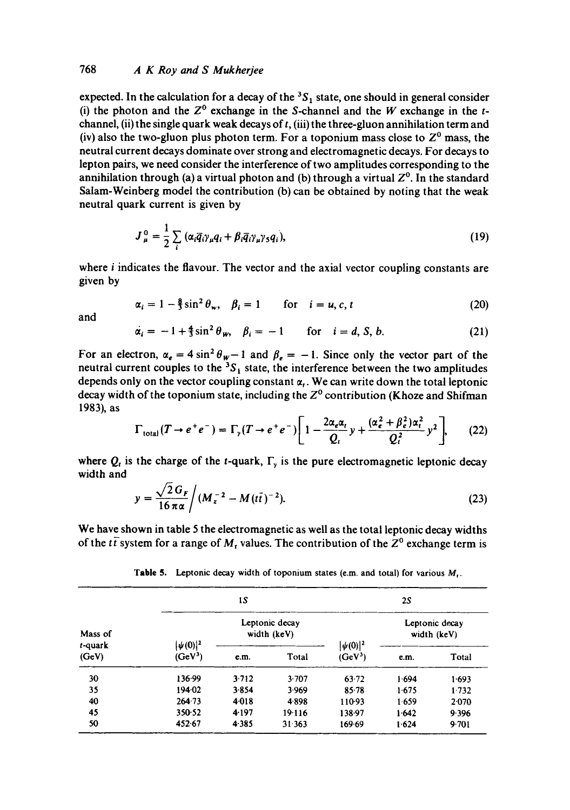## 768 *A K Roy and S Mukherjee*

expected. In the calculation for a decay of the  ${}^{3}S_{1}$  state, one should in general consider (i) the photon and the  $Z^0$  exchange in the S-channel and the W exchange in the tchannel, (ii) the single quark weak decays of  $t$ , (iii) the three-gluon annihilation term and (iv) also the two-gluon plus photon term. For a toponium mass close to  $Z<sup>0</sup>$  mass, the neutral current decays dominate over strong and electromagnetic decays. For decays to lepton pairs, we need consider the interference of two amplitudes corresponding to the annihilation through (a) a virtual photon and (b) through a virtual  $Z<sup>0</sup>$ . In the standard Salam-Weinberg model the contribution (b) can be obtained by noting that the weak neutral quark current is given by

$$
J_{\mu}^{0} = \frac{1}{2} \sum_{i} (\alpha_{i} \overline{q}_{i} \gamma_{\mu} q_{i} + \beta_{i} \overline{q}_{i} \gamma_{\mu} \gamma_{5} q_{i}),
$$
 (19)

where *i* indicates the flavour. The vector and the axial vector coupling constants are given by

$$
\alpha_i = 1 - \frac{8}{3}\sin^2\theta_w, \quad \beta_i = 1 \qquad \text{for} \quad i = u, c, t \tag{20}
$$

and

$$
\alpha_i = -1 + \frac{4}{3}\sin^2\theta_w, \quad \beta_i = -1 \quad \text{for} \quad i = d, S, b. \tag{21}
$$

For an electron,  $\alpha_e = 4 \sin^2 \theta_w - 1$  and  $\beta_e = -1$ . Since only the vector part of the neutral current couples to the  ${}^{3}S_1$  state, the interference between the two amplitudes depends only on the vector coupling constant  $\alpha_t$ . We can write down the total leptonic decay width of the toponium state, including the  $Z<sup>0</sup>$  contribution (Khoze and Shifman 1983), as

$$
\Gamma_{\text{total}}(T \to e^+e^-) = \Gamma_{\text{y}}(T \to e^+e^-) \left[ 1 - \frac{2\alpha_e \alpha_t}{Q_t} y + \frac{(\alpha_e^2 + \beta_e^2)\alpha_t^2}{Q_t^2} y^2 \right],\tag{22}
$$

where  $Q_t$  is the charge of the t-quark,  $\Gamma$ <sub>y</sub> is the pure electromagnetic leptonic decay width and

$$
y = \frac{\sqrt{2} G_F}{16 \pi \alpha} / (M_z^{-2} - M(t\bar{t})^{-2}).
$$
\n(23)

We have shown in table 5 the electromagnetic as well as the total leptonic decay widths of the  $t\bar{t}$  system for a range of  $M_t$  values. The contribution of the  $Z^0$  exchange term is

Table 5. Leptonic decay width of toponium states (e.m. and total) for various  $M_t$ .

| Mass of<br>t-quark<br>(GeV) |                               | 15    |        |                               | 25    |       |
|-----------------------------|-------------------------------|-------|--------|-------------------------------|-------|-------|
|                             | Leptonic decay<br>width (keV) |       |        | Leptonic decay<br>width (keV) |       |       |
|                             | $ \psi(0) ^2$<br>$(GeV^3)$    | e.m.  | Total  | $ \psi(0) ^2$<br>$(GeV^3)$    | e.m.  | Total |
| 30                          | 136.99                        | 3.712 | 3.707  | 63.72                         | 1.694 | 1.693 |
| 35                          | 194.02                        | 3.854 | 3.969  | 85.78                         | 1.675 | 1.732 |
| 40                          | 264 73                        | 4018  | 4898   | 110.93                        | 1.659 | 2.070 |
| 45                          | 350.52                        | 4.197 | 19.116 | 138.97                        | 1.642 | 9.396 |
| 50                          | 452.67                        | 4.385 | 31.363 | 169.69                        | 1.624 | 9.701 |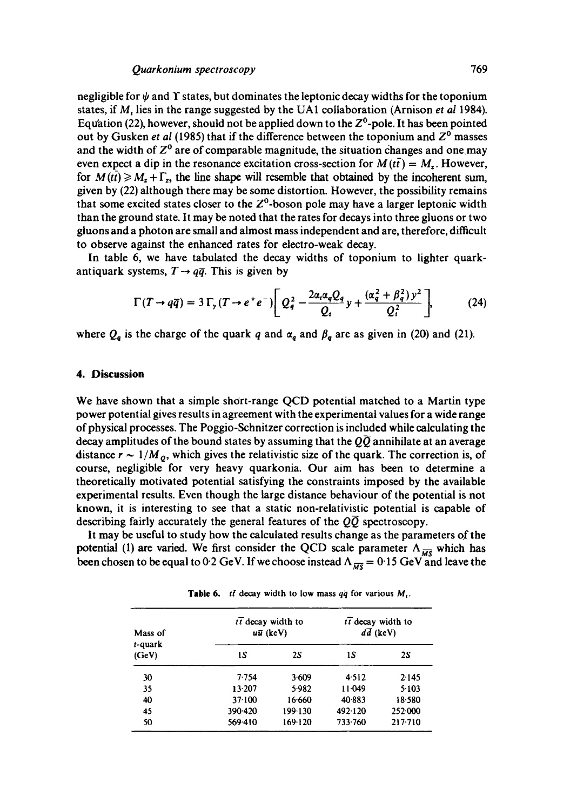negligible for  $\psi$  and  $\Upsilon$  states, but dominates the leptonic decay widths for the toponium states, if M, lies in the range suggested by the UA1 collaboration (Arnison *et aI* 1984). Equation (22), however, should not be applied down to the  $Z^0$ -pole. It has been pointed out by Gusken *et al* (1985) that if the difference between the toponium and  $Z^0$  masses and the width of  $Z^0$  are of comparable magnitude, the situation changes and one may even expect a dip in the resonance excitation cross-section for  $M(t\bar{t}) = M_z$ . However, for  $M(t\bar{t}) \geq M_z + \Gamma_z$ , the line shape will resemble that obtained by the incoherent sum, given by (22) although there may be some distortion. However, the possibility remains that some excited states closer to the  $Z^0$ -boson pole may have a larger leptonic width than the ground state. It may be noted that the rates for decays into three gluons or two gluons and a photon are small and almost mass independent and are, therefore, difficult to observe against the enhanced rates for electro-weak decay.

In table 6, we have tabulated the decay widths of toponium to lighter quarkantiquark systems,  $T \rightarrow q\bar{q}$ . This is given by

$$
\Gamma(T \to q\overline{q}) = 3\,\Gamma_{\gamma}\,(T \to e^+e^-) \left[Q_q^2 - \frac{2\alpha_{\rm r}\alpha_{\rm q}Q_{\rm q}}{Q_{\rm r}}\,y + \frac{(\alpha_{\rm q}^2 + \beta_{\rm q}^2)\,y^2}{Q_{\rm r}^2}\right],\tag{24}
$$

where  $Q_q$  is the charge of the quark q and  $\alpha_q$  and  $\beta_q$  are as given in (20) and (21).

### **4. Discussion**

We have shown that a simple short-range QCD potential matched to a Martin type power potential gives results in agreement with the experimental values for a wide range of physical processes. The Poggio-Schnitzer correction is included while calculating the decay amplitudes of the bound states by assuming that the  $Q\overline{Q}$  annihilate at an average distance  $r \sim 1/M_o$ , which gives the relativistic size of the quark. The correction is, of course, negligible for very heavy quarkonia. Our aim has been to determine a theoretically motivated potential satisfying the constraints imposed by the available experimental results. Even though the large distance behaviour of the potential is not known, it is interesting to see that a static non-relativistic potential is capable of describing fairly accurately the general features of the  $Q\overline{Q}$  spectroscopy.

It may be useful to study how the calculated results change as the parameters of the potential (1) are varied. We first consider the QCD scale parameter  $\Lambda_{\overline{MS}}$  which has been chosen to be equal to 0.2 GeV. If we choose instead  $\Lambda_{\overline{MS}} = 0.15$  GeV and leave the

**Table 6.** *tf* decay width to low mass  $q\bar{q}$  for various  $M_r$ .

| Mass of             | tt decay width to | $u\bar{u}$ (keV) | $t\bar{t}$ decay width to<br>$d\bar{d}$ (keV) |         |
|---------------------|-------------------|------------------|-----------------------------------------------|---------|
| $t$ -quark<br>(GeV) | ıs                | <b>2S</b>        | 15                                            | 2S      |
| 30                  | 7.754             | 3.609            | 4.512                                         | 2.145   |
| 35                  | 13.207            | 5.982            | 11.049                                        | 5.103   |
| 40                  | 37.100            | 16.660           | 40.883                                        | 18.580  |
| 45                  | 390.420           | 199 130          | 492.120                                       | 252.000 |
| 50                  | 569.410           | 169.120          | 733.760                                       | 217.710 |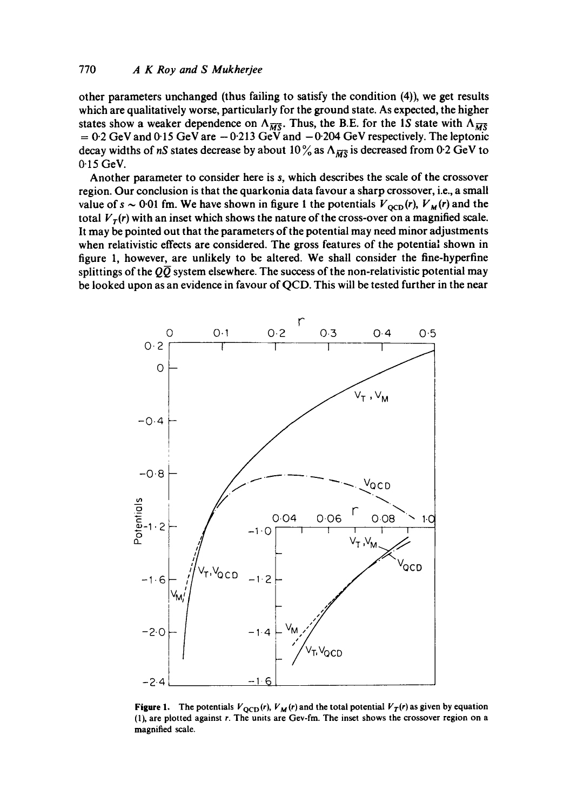other parameters unchanged (thus failing to satisfy the condition (4)), we get results which are qualitatively worse, particularly for the ground state. As expected, the higher states show a weaker dependence on  $\Lambda_{\overline{MS}}$ . Thus, the B.E. for the 1S state with  $\Lambda_{\overline{MS}}$  $= 0.2$  GeV and 0.15 GeV are  $-0.213$  GeV and  $-0.204$  GeV respectively. The leptonic decay widths of *nS* states decrease by about 10% as  $\Lambda_{\overline{MS}}$  is decreased from 0.2 GeV to 0-i5 GeV.

Another parameter to consider here is s, which describes the scale of the crossover region. Our conclusion is that the quarkonia data favour a sharp crossover, i.e., a small value of  $s \sim 0.01$  fm. We have shown in figure 1 the potentials  $V_{\text{OCD}}(r)$ ,  $V_M(r)$  and the total  $V_T(r)$  with an inset which shows the nature of the cross-over on a magnified scale. It may be pointed out that the parameters of the potential may need minor adjustments when relativistic effects are considered. The gross features of the potential shown in figure 1, however, are unlikely to be altered. We shall consider the fine-hyperfine splittings of the  $Q\overline{Q}$  system elsewhere. The success of the non-relativistic potential may be looked upon as an evidence in favour of QCD. This will be tested further in the near



**Figure 1.** The potentials  $V_{\text{QCD}}(r)$ ,  $V_M(r)$  and the total potential  $V_T(r)$  as given by equation (1), are plotted against r. The units are Gev-fm. The inset shows the crossover region on a magnified scale.